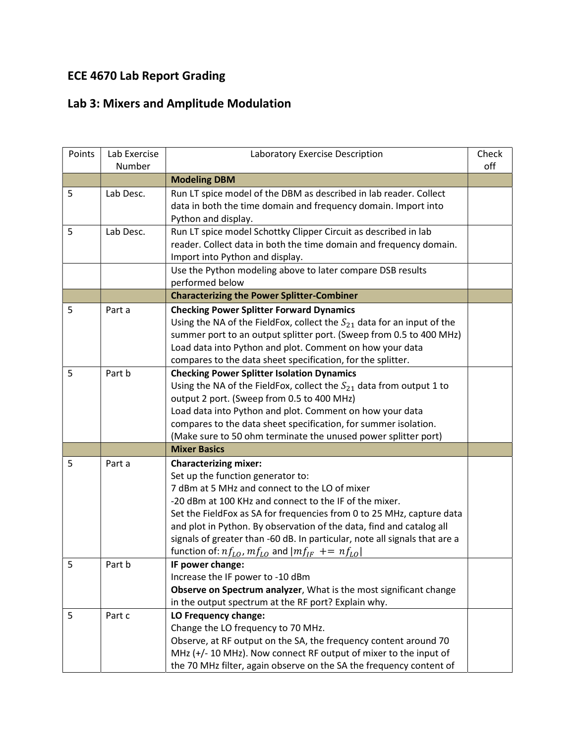## ECE 4670 Lab Report Grading

## Lab 3: Mixers and Amplitude Modulation

| Points | Lab Exercise | Laboratory Exercise Description                                             | Check |
|--------|--------------|-----------------------------------------------------------------------------|-------|
|        | Number       |                                                                             | off   |
|        |              | <b>Modeling DBM</b>                                                         |       |
| 5      | Lab Desc.    | Run LT spice model of the DBM as described in lab reader. Collect           |       |
|        |              | data in both the time domain and frequency domain. Import into              |       |
|        |              | Python and display.                                                         |       |
| 5      | Lab Desc.    | Run LT spice model Schottky Clipper Circuit as described in lab             |       |
|        |              | reader. Collect data in both the time domain and frequency domain.          |       |
|        |              | Import into Python and display.                                             |       |
|        |              | Use the Python modeling above to later compare DSB results                  |       |
|        |              | performed below                                                             |       |
|        |              | <b>Characterizing the Power Splitter-Combiner</b>                           |       |
| 5      | Part a       | <b>Checking Power Splitter Forward Dynamics</b>                             |       |
|        |              | Using the NA of the FieldFox, collect the $S_{21}$ data for an input of the |       |
|        |              | summer port to an output splitter port. (Sweep from 0.5 to 400 MHz)         |       |
|        |              | Load data into Python and plot. Comment on how your data                    |       |
|        |              | compares to the data sheet specification, for the splitter.                 |       |
| 5      | Part b       | <b>Checking Power Splitter Isolation Dynamics</b>                           |       |
|        |              | Using the NA of the FieldFox, collect the $S_{21}$ data from output 1 to    |       |
|        |              | output 2 port. (Sweep from 0.5 to 400 MHz)                                  |       |
|        |              | Load data into Python and plot. Comment on how your data                    |       |
|        |              | compares to the data sheet specification, for summer isolation.             |       |
|        |              | (Make sure to 50 ohm terminate the unused power splitter port)              |       |
|        |              | <b>Mixer Basics</b>                                                         |       |
| 5      | Part a       | <b>Characterizing mixer:</b>                                                |       |
|        |              | Set up the function generator to:                                           |       |
|        |              | 7 dBm at 5 MHz and connect to the LO of mixer                               |       |
|        |              | -20 dBm at 100 KHz and connect to the IF of the mixer.                      |       |
|        |              | Set the FieldFox as SA for frequencies from 0 to 25 MHz, capture data       |       |
|        |              | and plot in Python. By observation of the data, find and catalog all        |       |
|        |              | signals of greater than -60 dB. In particular, note all signals that are a  |       |
|        |              | function of: $nf_{LO}$ , $mf_{LO}$ and $ mf_{IF}$ += $nf_{LO} $             |       |
| 5      | Part b       | IF power change:                                                            |       |
|        |              | Increase the IF power to -10 dBm                                            |       |
|        |              | Observe on Spectrum analyzer, What is the most significant change           |       |
|        |              | in the output spectrum at the RF port? Explain why.                         |       |
| 5      | Part c       | LO Frequency change:                                                        |       |
|        |              | Change the LO frequency to 70 MHz.                                          |       |
|        |              | Observe, at RF output on the SA, the frequency content around 70            |       |
|        |              | MHz (+/-10 MHz). Now connect RF output of mixer to the input of             |       |
|        |              | the 70 MHz filter, again observe on the SA the frequency content of         |       |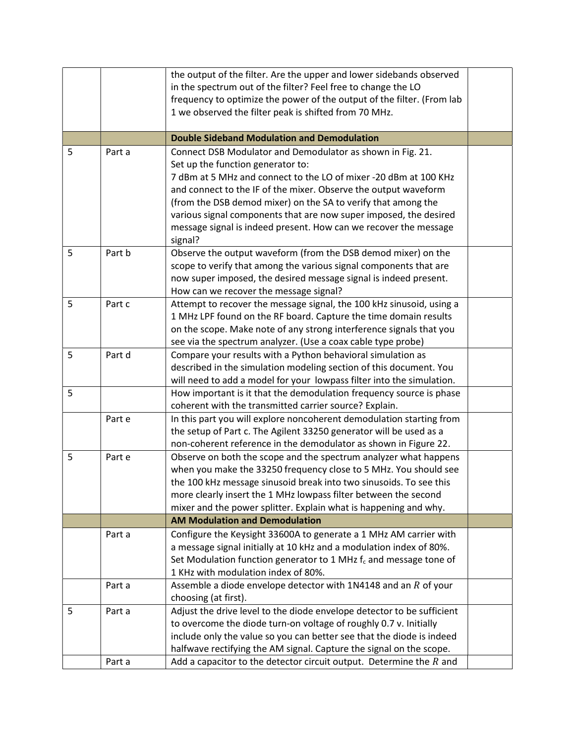|   |        | the output of the filter. Are the upper and lower sidebands observed                      |  |
|---|--------|-------------------------------------------------------------------------------------------|--|
|   |        | in the spectrum out of the filter? Feel free to change the LO                             |  |
|   |        | frequency to optimize the power of the output of the filter. (From lab                    |  |
|   |        | 1 we observed the filter peak is shifted from 70 MHz.                                     |  |
|   |        |                                                                                           |  |
|   |        | <b>Double Sideband Modulation and Demodulation</b>                                        |  |
| 5 | Part a | Connect DSB Modulator and Demodulator as shown in Fig. 21.                                |  |
|   |        | Set up the function generator to:                                                         |  |
|   |        | 7 dBm at 5 MHz and connect to the LO of mixer -20 dBm at 100 KHz                          |  |
|   |        | and connect to the IF of the mixer. Observe the output waveform                           |  |
|   |        | (from the DSB demod mixer) on the SA to verify that among the                             |  |
|   |        | various signal components that are now super imposed, the desired                         |  |
|   |        | message signal is indeed present. How can we recover the message                          |  |
|   |        | signal?                                                                                   |  |
| 5 | Part b | Observe the output waveform (from the DSB demod mixer) on the                             |  |
|   |        | scope to verify that among the various signal components that are                         |  |
|   |        | now super imposed, the desired message signal is indeed present.                          |  |
|   |        | How can we recover the message signal?                                                    |  |
| 5 | Part c | Attempt to recover the message signal, the 100 kHz sinusoid, using a                      |  |
|   |        | 1 MHz LPF found on the RF board. Capture the time domain results                          |  |
|   |        | on the scope. Make note of any strong interference signals that you                       |  |
|   |        | see via the spectrum analyzer. (Use a coax cable type probe)                              |  |
| 5 | Part d | Compare your results with a Python behavioral simulation as                               |  |
|   |        | described in the simulation modeling section of this document. You                        |  |
|   |        | will need to add a model for your lowpass filter into the simulation.                     |  |
| 5 |        | How important is it that the demodulation frequency source is phase                       |  |
|   |        | coherent with the transmitted carrier source? Explain.                                    |  |
|   | Part e | In this part you will explore noncoherent demodulation starting from                      |  |
|   |        | the setup of Part c. The Agilent 33250 generator will be used as a                        |  |
|   |        | non-coherent reference in the demodulator as shown in Figure 22.                          |  |
| 5 | Part e | Observe on both the scope and the spectrum analyzer what happens                          |  |
|   |        | when you make the 33250 frequency close to 5 MHz. You should see                          |  |
|   |        | the 100 kHz message sinusoid break into two sinusoids. To see this                        |  |
|   |        | more clearly insert the 1 MHz lowpass filter between the second                           |  |
|   |        | mixer and the power splitter. Explain what is happening and why.                          |  |
|   |        | <b>AM Modulation and Demodulation</b>                                                     |  |
|   | Part a | Configure the Keysight 33600A to generate a 1 MHz AM carrier with                         |  |
|   |        | a message signal initially at 10 kHz and a modulation index of 80%.                       |  |
|   |        | Set Modulation function generator to 1 MHz $f_c$ and message tone of                      |  |
|   | Part a | 1 KHz with modulation index of 80%.                                                       |  |
|   |        | Assemble a diode envelope detector with $1N4148$ and an R of your<br>choosing (at first). |  |
| 5 | Part a | Adjust the drive level to the diode envelope detector to be sufficient                    |  |
|   |        | to overcome the diode turn-on voltage of roughly 0.7 v. Initially                         |  |
|   |        | include only the value so you can better see that the diode is indeed                     |  |
|   |        | halfwave rectifying the AM signal. Capture the signal on the scope.                       |  |
|   | Part a | Add a capacitor to the detector circuit output. Determine the $R$ and                     |  |
|   |        |                                                                                           |  |